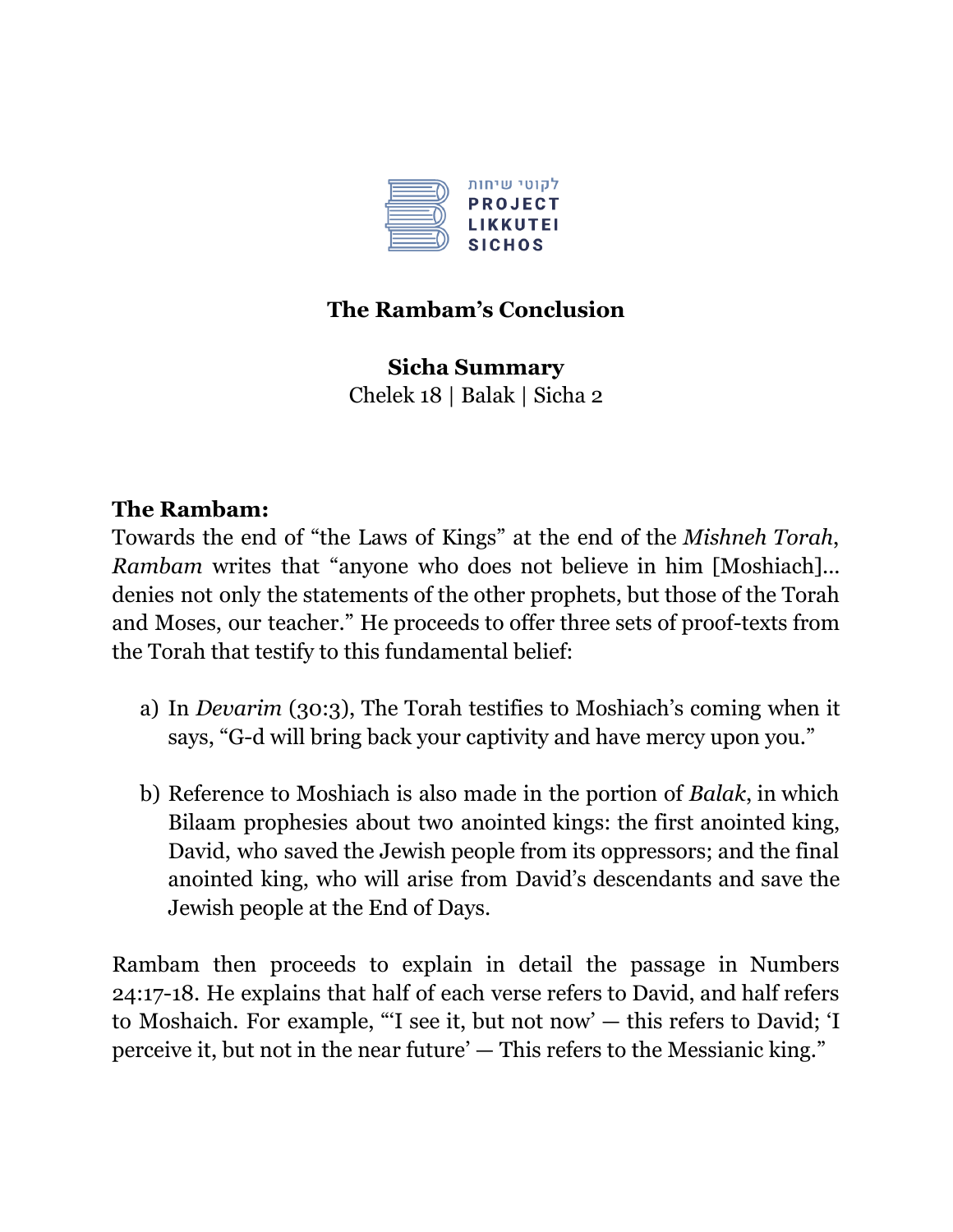

## **The Rambam's Conclusion**

**Sicha Summary** Chelek 18 | Balak | Sicha 2

#### **The Rambam:**

Towards the end of "the Laws of Kings" at the end of the *Mishneh Torah*, *Rambam* writes that "anyone who does not believe in him [Moshiach]... denies not only the statements of the other prophets, but those of the Torah and Moses, our teacher." He proceeds to offer three sets of proof-texts from the Torah that testify to this fundamental belief:

- a) In *Devarim* (30:3), The Torah testifies to Moshiach's coming when it says, "G-d will bring back your captivity and have mercy upon you."
- b) Reference to Moshiach is also made in the portion of *Balak*, in which Bilaam prophesies about two anointed kings: the first anointed king, David, who saved the Jewish people from its oppressors; and the final anointed king, who will arise from David's descendants and save the Jewish people at the End of Days.

Rambam then proceeds to explain in detail the passage in Numbers 24:17-18. He explains that half of each verse refers to David, and half refers to Moshaich. For example, "'I see it, but not now' — this refers to David; 'I perceive it, but not in the near future' — This refers to the Messianic king."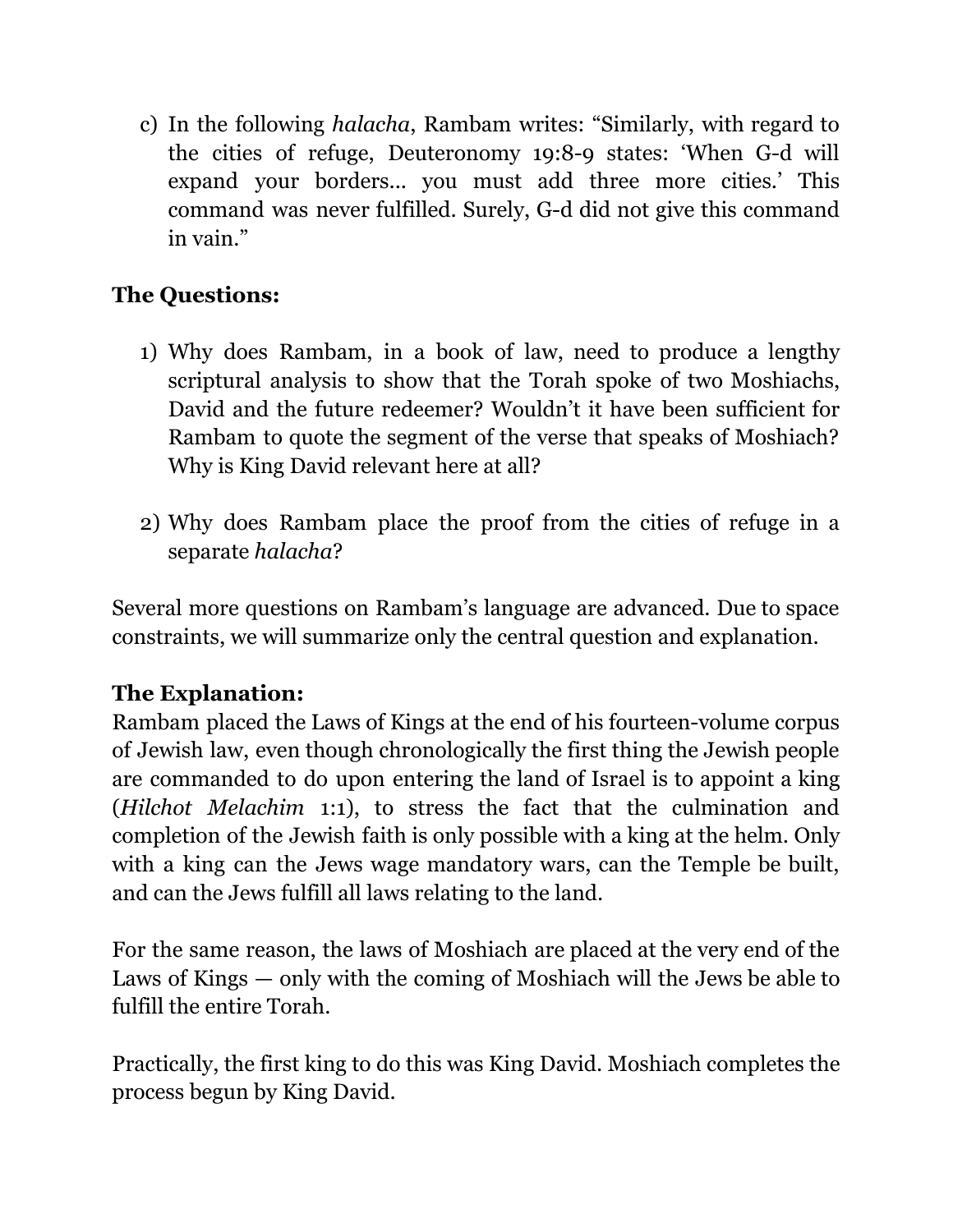c) In the following *halacha*, Rambam writes: "Similarly, with regard to the cities of refuge, Deuteronomy 19:8-9 states: 'When G-d will expand your borders... you must add three more cities.' This command was never fulfilled. Surely, G-d did not give this command in vain."

# **The Questions:**

- 1) Why does Rambam, in a book of law, need to produce a lengthy scriptural analysis to show that the Torah spoke of two Moshiachs, David and the future redeemer? Wouldn't it have been sufficient for Rambam to quote the segment of the verse that speaks of Moshiach? Why is King David relevant here at all?
- 2) Why does Rambam place the proof from the cities of refuge in a separate *halacha*?

Several more questions on Rambam's language are advanced. Due to space constraints, we will summarize only the central question and explanation.

## **The Explanation:**

Rambam placed the Laws of Kings at the end of his fourteen-volume corpus of Jewish law, even though chronologically the first thing the Jewish people are commanded to do upon entering the land of Israel is to appoint a king (*Hilchot Melachim* 1:1), to stress the fact that the culmination and completion of the Jewish faith is only possible with a king at the helm. Only with a king can the Jews wage mandatory wars, can the Temple be built, and can the Jews fulfill all laws relating to the land.

For the same reason, the laws of Moshiach are placed at the very end of the Laws of Kings — only with the coming of Moshiach will the Jews be able to fulfill the entire Torah.

Practically, the first king to do this was King David. Moshiach completes the process begun by King David.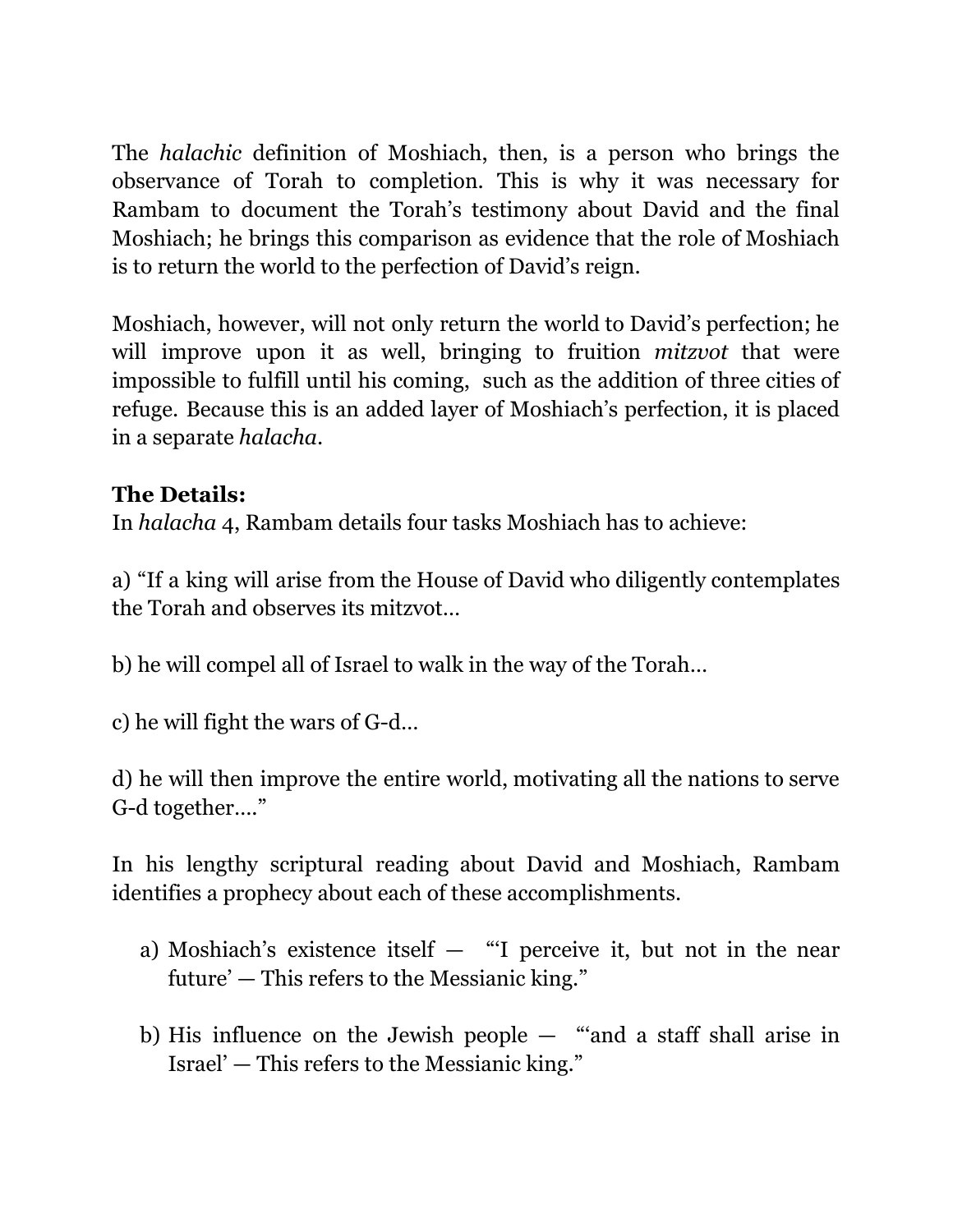The *halachic* definition of Moshiach, then, is a person who brings the observance of Torah to completion. This is why it was necessary for Rambam to document the Torah's testimony about David and the final Moshiach; he brings this comparison as evidence that the role of Moshiach is to return the world to the perfection of David's reign.

Moshiach, however, will not only return the world to David's perfection; he will improve upon it as well, bringing to fruition *mitzvot* that were impossible to fulfill until his coming, such as the addition of three cities of refuge. Because this is an added layer of Moshiach's perfection, it is placed in a separate *halacha*.

## **The Details:**

In *halacha* 4, Rambam details four tasks Moshiach has to achieve:

a) "If a king will arise from the House of David who diligently contemplates the Torah and observes its mitzvot…

b) he will compel all of Israel to walk in the way of the Torah…

c) he will fight the wars of G-d…

d) he will then improve the entire world, motivating all the nations to serve G-d together…."

In his lengthy scriptural reading about David and Moshiach, Rambam identifies a prophecy about each of these accomplishments.

- a) Moshiach's existence itself  $-$  "'I perceive it, but not in the near future' — This refers to the Messianic king."
- b) His influence on the Jewish people "'and a staff shall arise in Israel' — This refers to the Messianic king."